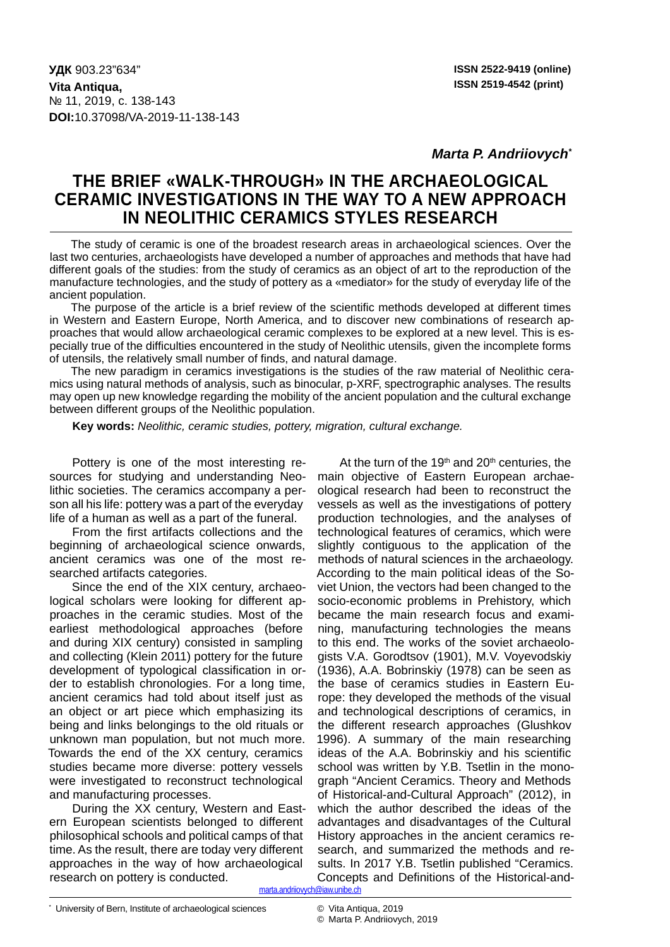### *Marta P. Andriiovych\**

# **The Brief «Walk-Through» in the Archaeological Ceramic investigations in the way to a New Approach in Neolithic Ceramics Styles Research**

The study of ceramic is one of the broadest research areas in archaeological sciences. Over the last two centuries, archaeologists have developed a number of approaches and methods that have had different goals of the studies: from the study of ceramics as an object of art to the reproduction of the manufacture technologies, and the study of pottery as a «mediator» for the study of everyday life of the ancient population.

The purpose of the article is a brief review of the scientific methods developed at different times in Western and Eastern Europe, North America, and to discover new combinations of research approaches that would allow archaeological ceramic complexes to be explored at a new level. This is especially true of the difficulties encountered in the study of Neolithic utensils, given the incomplete forms of utensils, the relatively small number of finds, and natural damage.

The new paradigm in ceramics investigations is the studies of the raw material of Neolithic ceramics using natural methods of analysis, such as binocular, p-XRF, spectrographic analyses. The results may open up new knowledge regarding the mobility of the ancient population and the cultural exchange between different groups of the Neolithic population.

**Key words:** *Neolithic, ceramic studies, pottery, migration, cultural exchange.*

Pottery is one of the most interesting resources for studying and understanding Neolithic societies. The ceramics accompany a person all his life: pottery was a part of the everyday life of a human as well as a part of the funeral.

From the first artifacts collections and the beginning of archaeological science onwards, ancient ceramics was one of the most researched artifacts categories.

Since the end of the XIX century, archaeological scholars were looking for different approaches in the ceramic studies. Most of the earliest methodological approaches (before and during XIX century) consisted in sampling and collecting (Klein 2011) pottery for the future development of typological classification in order to establish chronologies. For a long time, ancient ceramics had told about itself just as an object or art piece which emphasizing its being and links belongings to the old rituals or unknown man population, but not much more. Towards the end of the XX century, ceramics studies became more diverse: pottery vessels were investigated to reconstruct technological and manufacturing processes.

During the XX century, Western and Eastern European scientists belonged to different philosophical schools and political camps of that time. As the result, there are today very different approaches in the way of how archaeological research on pottery is conducted.

At the turn of the  $19<sup>th</sup>$  and  $20<sup>th</sup>$  centuries, the main objective of Eastern European archaeological research had been to reconstruct the vessels as well as the investigations of pottery production technologies, and the analyses of technological features of ceramics, which were slightly contiguous to the application of the methods of natural sciences in the archaeology. According to the main political ideas of the Soviet Union, the vectors had been changed to the socio-economic problems in Prehistory, which became the main research focus and examining, manufacturing technologies the means to this end. The works of the soviet archaeologists V.A. Gorodtsov (1901), M.V. Voyevodskiy (1936), A.A. Bobrinskiy (1978) can be seen as the base of ceramics studies in Eastern Europe: they developed the methods of the visual and technological descriptions of ceramics, in the different research approaches (Glushkov 1996). A summary of the main researching ideas of the A.A. Bobrinskiy and his scientific school was written by Y.B. Tsetlin in the monograph "Ancient Ceramics. Theory and Methods of Historical-and-Cultural Approach" (2012), in which the author described the ideas of the advantages and disadvantages of the Cultural History approaches in the ancient ceramics research, and summarized the methods and results. In 2017 Y.B. Tsetlin published "Ceramics. Concepts and Definitions of the Historical-and-

[marta.andriiovych@iaw.unibe.ch](mailto:marta.andriiovych@iaw.unibe.ch)

© Vita Antiqua, 2019

© Marta P. Andriiovych, 2019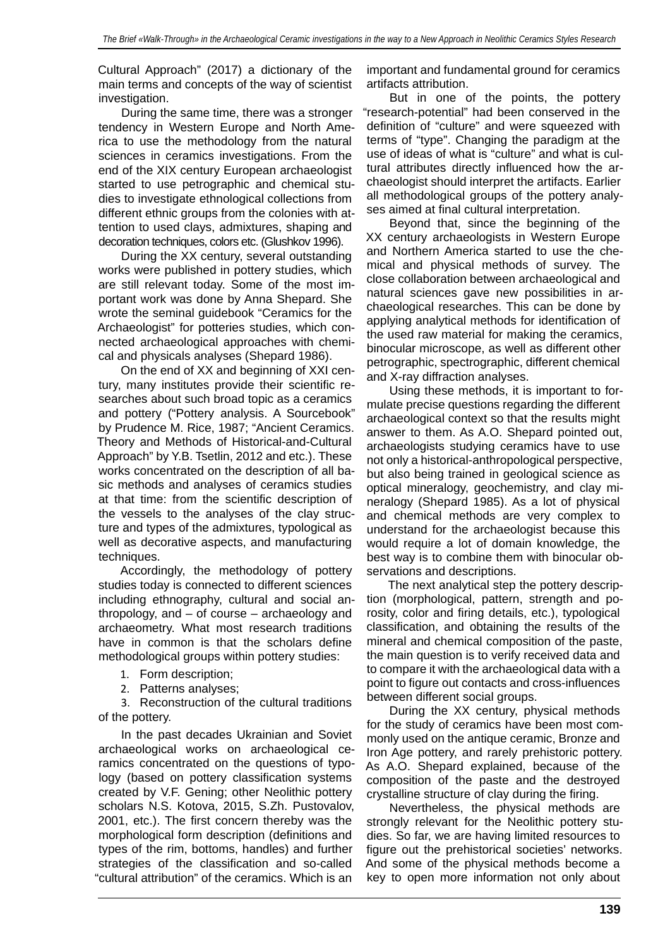Cultural Approach" (2017) a dictionary of the main terms and concepts of the way of scientist investigation.

During the same time, there was a stronger tendency in Western Europe and North America to use the methodology from the natural sciences in ceramics investigations. From the end of the XIX century European archaeologist started to use petrographic and chemical studies to investigate ethnological collections from different ethnic groups from the colonies with attention to used clays, admixtures, shaping and decoration techniques, colors etc. (Glushkov 1996).

During the XX century, several outstanding works were published in pottery studies, which are still relevant today. Some of the most important work was done by Anna Shepard. She wrote the seminal guidebook "Ceramics for the Archaeologist" for potteries studies, which connected archaeological approaches with chemical and physicals analyses (Shepard 1986).

On the end of XX and beginning of XXI century, many institutes provide their scientific researches about such broad topic as a ceramics and pottery ("Pottery analysis. A Sourcebook" by Prudence M. Rice, 1987; "Ancient Ceramics. Theory and Methods of Historical-and-Cultural Approach" by Y.B. Tsetlin, 2012 and etc.). These works concentrated on the description of all basic methods and analyses of ceramics studies at that time: from the scientific description of the vessels to the analyses of the clay structure and types of the admixtures, typological as well as decorative aspects, and manufacturing techniques.

Accordingly, the methodology of pottery studies today is connected to different sciences including ethnography, cultural and social anthropology, and – of course – archaeology and archaeometry. What most research traditions have in common is that the scholars define methodological groups within pottery studies:

- 1. Form description;
- 2. Patterns analyses;

3. Reconstruction of the cultural traditions of the pottery.

In the past decades Ukrainian and Soviet archaeological works on archaeological ceramics concentrated on the questions of typology (based on pottery classification systems created by V.F. Gening; other Neolithic pottery scholars N.S. Kotova, 2015, S.Zh. Pustovalov, 2001, etc.). The first concern thereby was the morphological form description (definitions and types of the rim, bottoms, handles) and further strategies of the classification and so-called "cultural attribution" of the ceramics. Which is an

important and fundamental ground for ceramics artifacts attribution.

But in one of the points, the pottery "research-potential" had been conserved in the definition of "culture" and were squeezed with terms of "type". Changing the paradigm at the use of ideas of what is "culture" and what is cultural attributes directly influenced how the archaeologist should interpret the artifacts. Earlier all methodological groups of the pottery analyses aimed at final cultural interpretation.

Beyond that, since the beginning of the XX century archaeologists in Western Europe and Northern America started to use the chemical and physical methods of survey. The close collaboration between archaeological and natural sciences gave new possibilities in archaeological researches. This can be done by applying analytical methods for identification of the used raw material for making the ceramics, binocular microscope, as well as different other petrographic, spectrographic, different chemical and X-ray diffraction analyses.

Using these methods, it is important to formulate precise questions regarding the different archaeological context so that the results might answer to them. As A.O. Shepard pointed out, archaeologists studying ceramics have to use not only a historical-anthropological perspective, but also being trained in geological science as optical mineralogy, geochemistry, and clay mineralogy (Shepard 1985). As a lot of physical and chemical methods are very complex to understand for the archaeologist because this would require a lot of domain knowledge, the best way is to combine them with binocular observations and descriptions.

The next analytical step the pottery description (morphological, pattern, strength and porosity, color and firing details, etc.), typological classification, and obtaining the results of the mineral and chemical composition of the paste, the main question is to verify received data and to compare it with the archaeological data with a point to figure out contacts and cross-influences between different social groups.

During the XX century, physical methods for the study of ceramics have been most commonly used on the antique ceramic, Bronze and Iron Age pottery, and rarely prehistoric pottery. As A.O. Shepard explained, because of the composition of the paste and the destroyed crystalline structure of clay during the firing.

Nevertheless, the physical methods are strongly relevant for the Neolithic pottery studies. So far, we are having limited resources to figure out the prehistorical societies' networks. And some of the physical methods become a key to open more information not only about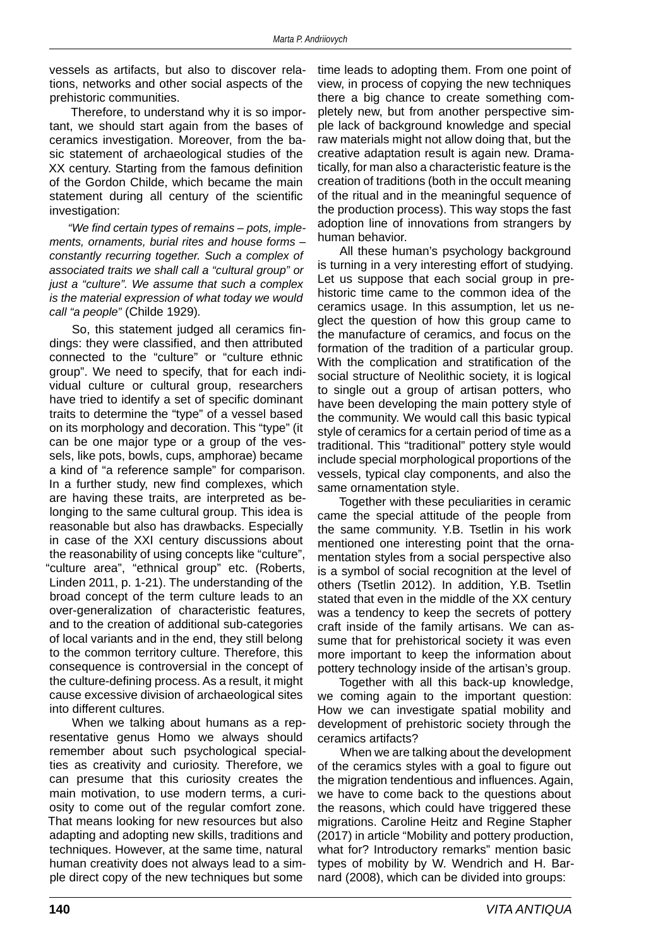vessels as artifacts, but also to discover relations, networks and other social aspects of the prehistoric communities.

Therefore, to understand why it is so important, we should start again from the bases of ceramics investigation. Moreover, from the basic statement of archaeological studies of the XX century. Starting from the famous definition of the Gordon Childe, which became the main statement during all century of the scientific investigation:

*"We find certain types of remains – pots, implements, ornaments, burial rites and house forms – constantly recurring together. Such a complex of associated traits we shall call a "cultural group" or just a "culture". We assume that such a complex is the material expression of what today we would call "a people"* (Childe 1929)*.*

So, this statement judged all ceramics findings: they were classified, and then attributed connected to the "culture" or "culture ethnic group". We need to specify, that for each individual culture or cultural group, researchers have tried to identify a set of specific dominant traits to determine the "type" of a vessel based on its morphology and decoration. This "type" (it can be one major type or a group of the vessels, like pots, bowls, cups, amphorae) became a kind of "a reference sample" for comparison. In a further study, new find complexes, which are having these traits, are interpreted as belonging to the same cultural group. This idea is reasonable but also has drawbacks. Especially in case of the XXI century discussions about the reasonability of using concepts like "culture", "culture area", "ethnical group" etc. (Roberts, Linden 2011, p. 1-21). The understanding of the broad concept of the term culture leads to an over-generalization of characteristic features, and to the creation of additional sub-categories of local variants and in the end, they still belong to the common territory culture. Therefore, this consequence is controversial in the concept of the culture-defining process. As a result, it might cause excessive division of archaeological sites into different cultures.

When we talking about humans as a representative genus Homo we always should remember about such psychological specialties as creativity and curiosity. Therefore, we can presume that this curiosity creates the main motivation, to use modern terms, a curiosity to come out of the regular comfort zone. That means looking for new resources but also adapting and adopting new skills, traditions and techniques. However, at the same time, natural human creativity does not always lead to a simple direct copy of the new techniques but some

time leads to adopting them. From one point of view, in process of copying the new techniques there a big chance to create something completely new, but from another perspective simple lack of background knowledge and special raw materials might not allow doing that, but the creative adaptation result is again new. Dramatically, for man also a characteristic feature is the creation of traditions (both in the occult meaning of the ritual and in the meaningful sequence of the production process). This way stops the fast adoption line of innovations from strangers by human behavior.

All these human's psychology background is turning in a very interesting effort of studying. Let us suppose that each social group in prehistoric time came to the common idea of the ceramics usage. In this assumption, let us neglect the question of how this group came to the manufacture of ceramics, and focus on the formation of the tradition of a particular group. With the complication and stratification of the social structure of Neolithic society, it is logical to single out a group of artisan potters, who have been developing the main pottery style of the community. We would call this basic typical style of ceramics for a certain period of time as a traditional. This "traditional" pottery style would include special morphological proportions of the vessels, typical clay components, and also the same ornamentation style.

Together with these peculiarities in ceramic came the special attitude of the people from the same community. Y.B. Tsetlin in his work mentioned one interesting point that the ornamentation styles from a social perspective also is a symbol of social recognition at the level of others (Tsetlin 2012). In addition, Y.B. Tsetlin stated that even in the middle of the XX century was a tendency to keep the secrets of pottery craft inside of the family artisans. We can assume that for prehistorical society it was even more important to keep the information about pottery technology inside of the artisan's group.

Together with all this back-up knowledge, we coming again to the important question: How we can investigate spatial mobility and development of prehistoric society through the ceramics artifacts?

When we are talking about the development of the ceramics styles with a goal to figure out the migration tendentious and influences. Again, we have to come back to the questions about the reasons, which could have triggered these migrations. Caroline Heitz and Regine Stapher (2017) in article "Mobility and pottery production, what for? Introductory remarks" mention basic types of mobility by W. Wendrich and H. Barnard (2008), which can be divided into groups: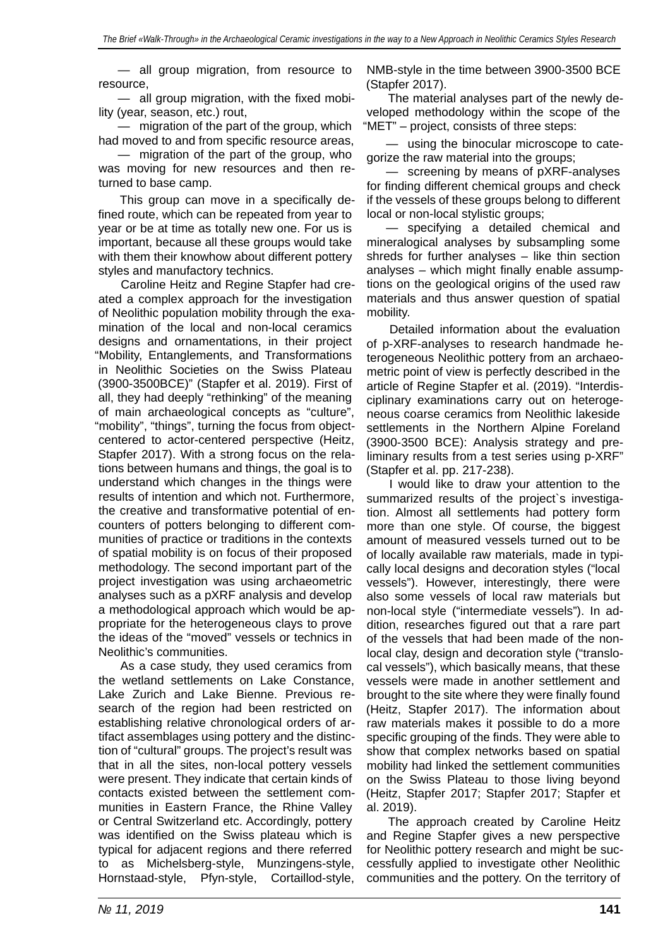— all group migration, from resource to resource,

— all group migration, with the fixed mobility (year, season, etc.) rout,

— migration of the part of the group, which had moved to and from specific resource areas,

— migration of the part of the group, who was moving for new resources and then returned to base camp.

This group can move in a specifically defined route, which can be repeated from year to year or be at time as totally new one. For us is important, because all these groups would take with them their knowhow about different pottery styles and manufactory technics.

Caroline Heitz and Regine Stapfer had created a complex approach for the investigation of Neolithic population mobility through the examination of the local and non-local ceramics designs and ornamentations, in their project "Mobility, Entanglements, and Transformations in Neolithic Societies on the Swiss Plateau (3900-3500BCE)" (Stapfer et al. 2019). First of all, they had deeply "rethinking" of the meaning of main archaeological concepts as "culture", "mobility", "things", turning the focus from objectcentered to actor-centered perspective (Heitz, Stapfer 2017). With a strong focus on the relations between humans and things, the goal is to understand which changes in the things were results of intention and which not. Furthermore, the creative and transformative potential of encounters of potters belonging to different communities of practice or traditions in the contexts of spatial mobility is on focus of their proposed methodology. The second important part of the project investigation was using archaeometric analyses such as a pXRF analysis and develop a methodological approach which would be appropriate for the heterogeneous clays to prove the ideas of the "moved" vessels or technics in Neolithic's communities.

As a case study, they used ceramics from the wetland settlements on Lake Constance, Lake Zurich and Lake Bienne. Previous research of the region had been restricted on establishing relative chronological orders of artifact assemblages using pottery and the distinction of "cultural" groups. The project's result was that in all the sites, non-local pottery vessels were present. They indicate that certain kinds of contacts existed between the settlement communities in Eastern France, the Rhine Valley or Central Switzerland etc. Accordingly, pottery was identified on the Swiss plateau which is typical for adjacent regions and there referred to as Michelsberg-style, Munzingens-style, Hornstaad-style, Pfyn-style, Cortaillod-style,

NMB-style in the time between 3900-3500 BCE (Stapfer 2017).

The material analyses part of the newly developed methodology within the scope of the "MET" – project, consists of three steps:

— using the binocular microscope to categorize the raw material into the groups;

— screening by means of pXRF-analyses for finding different chemical groups and check if the vessels of these groups belong to different local or non-local stylistic groups;

— specifying a detailed chemical and mineralogical analyses by subsampling some shreds for further analyses – like thin section analyses – which might finally enable assumptions on the geological origins of the used raw materials and thus answer question of spatial mobility.

Detailed information about the evaluation of p-XRF-analyses to research handmade heterogeneous Neolithic pottery from an archaeometric point of view is perfectly described in the article of Regine Stapfer et al. (2019). "Interdisciplinary examinations carry out on heterogeneous coarse ceramics from Neolithic lakeside settlements in the Northern Alpine Foreland (3900-3500 BCE): Analysis strategy and preliminary results from a test series using p-XRF" (Stapfer et al. pp. 217-238).

I would like to draw your attention to the summarized results of the project`s investigation. Almost all settlements had pottery form more than one style. Of course, the biggest amount of measured vessels turned out to be of locally available raw materials, made in typically local designs and decoration styles ("local vessels"). However, interestingly, there were also some vessels of local raw materials but non-local style ("intermediate vessels"). In addition, researches figured out that a rare part of the vessels that had been made of the nonlocal clay, design and decoration style ("translocal vessels"), which basically means, that these vessels were made in another settlement and brought to the site where they were finally found (Heitz, Stapfer 2017). The information about raw materials makes it possible to do a more specific grouping of the finds. They were able to show that complex networks based on spatial mobility had linked the settlement communities on the Swiss Plateau to those living beyond (Heitz, Stapfer 2017; Stapfer 2017; Stapfer et al. 2019).

The approach created by Caroline Heitz and Regine Stapfer gives a new perspective for Neolithic pottery research and might be successfully applied to investigate other Neolithic communities and the pottery. On the territory of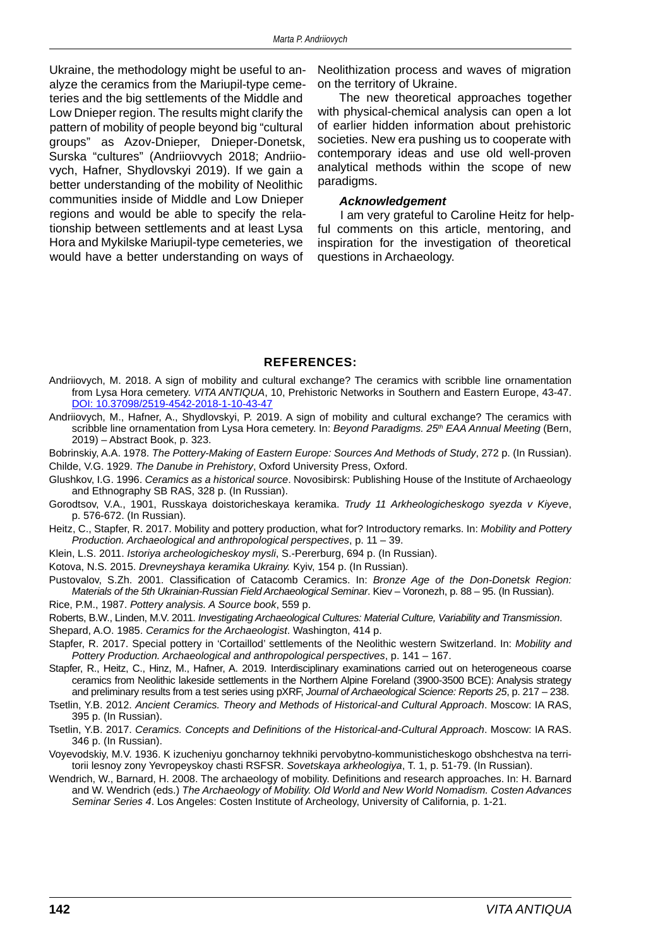Ukraine, the methodology might be useful to analyze the ceramics from the Mariupil-type cemeteries and the big settlements of the Middle and Low Dnieper region. The results might clarify the pattern of mobility of people beyond big "cultural groups" as Azov-Dnieper, Dnieper-Donetsk, Surska "cultures" (Andriiovvych 2018; Andriiovych, Hafner, Shydlovskyi 2019). If we gain a better understanding of the mobility of Neolithic communities inside of Middle and Low Dnieper regions and would be able to specify the relationship between settlements and at least Lysa Hora and Mykilske Mariupil-type cemeteries, we would have a better understanding on ways of

Neolithization process and waves of migration on the territory of Ukraine.

The new theoretical approaches together with physical-chemical analysis can open a lot of earlier hidden information about prehistoric societies. New era pushing us to cooperate with contemporary ideas and use old well-proven analytical methods within the scope of new paradigms.

#### *Acknowledgement*

I am very grateful to Caroline Heitz for helpful comments on this article, mentoring, and inspiration for the investigation of theoretical questions in Archaeology.

#### **REFERENCES:**

- Andriiovych, M. 2018. A sign of mobility and cultural exchange? The ceramics with scribble line ornamentation from Lysa Hora cemetery. *VITA ANTIQUA*, 10, Prehistoric Networks in Southern and Eastern Europe, 43-47. DOI: 10.37098/2519-4542-2018-1-10-43-47
- Andriiovych, M., Hafner, A., Shydlovskyi, P. 2019. A sign of mobility and cultural exchange? The ceramics with scribble line ornamentation from Lysa Hora cemetery. In: *Beyond Paradigms. 25th EAA Annual Meeting* (Bern, 2019) – Abstract Book, p. 323.

Bobrinskiy, A.A. 1978. *The Pottery-Making of Eastern Europe: Sources And Methods of Study*, 272 p. (In Russian). Childe, V.G. 1929. *The Danube in Prehistory*, Oxford University Press, Oxford.

- Glushkov, I.G. 1996. *Ceramics as a historical source*. Novosibirsk: Publishing House of the Institute of Archaeology and Ethnography SB RAS, 328 p. (In Russian).
- Gorodtsov, V.A., 1901, Russkaya doistoricheskaya keramika. *Trudy 11 Arkheologicheskogo syezda v Kiyeve*, p. 576-672. (In Russian).
- Heitz, C., Stapfer, R. 2017. Mobility and pottery production, what for? Introductory remarks. In: *Mobility and Pottery Production. Archaeological and anthropological perspectives*, p. 11 – 39.
- Klein, L.S. 2011. *Istoriya archeologicheskoy mysli*, S.-Pererburg, 694 p. (In Russian).
- Kotova, N.S. 2015. *Drevneyshaya keramika Ukrainy.* Kyiv, 154 p. (In Russian).
- Pustovalov, S.Zh. 2001. Classification of Catacomb Ceramics. In: *Bronze Age of the Don-Donetsk Region: Materials of the 5th Ukrainian-Russian Field Archaeological Seminar*. Kiev – Voronezh, p. 88 – 95. (In Russian).
- Rice, P.M., 1987. *Pottery analysis. A Source book*, 559 p.
- Roberts, B.W., Linden, M.V. 2011. *Investigating Archaeological Cultures: Material Culture, Variability and Transmission*.
- Shepard, A.O. 1985. *Ceramics for the Archaeologist*. Washington, 414 p.
- Stapfer, R. 2017. Special pottery in 'Cortaillod' settlements of the Neolithic western Switzerland. In: *Mobility and Pottery Production. Archaeological and anthropological perspectives*, p. 141 – 167.
- Stapfer, R., Heitz, C., Hinz, M., Hafner, A. 2019. Interdisciplinary examinations carried out on heterogeneous coarse ceramics from Neolithic lakeside settlements in the Northern Alpine Foreland (3900-3500 BCE): Analysis strategy and preliminary results from a test series using pXRF, *Journal of Archaeological Science: Reports 25*, p. 217 – 238.
- Tsetlin, Y.B. 2012. *Ancient Ceramics. Theory and Methods of Historical-and Cultural Approach*. Moscow: IA RAS, 395 p. (In Russian).
- Tsetlin, Y.B. 2017. *Ceramics. Concepts and Definitions of the Historical-and-Cultural Approach*. Moscow: IA RAS. 346 p. (In Russian).
- Voyevodskiy, M.V. 1936. K izucheniyu goncharnoy tekhniki pervobytno-kommunisticheskogo obshchestva na territorii lesnoy zony Yevropeyskoy chasti RSFSR. *Sovetskaya arkheologiya*, T. 1, p. 51-79. (In Russian).
- Wendrich, W., Barnard, H. 2008. The archaeology of mobility. Definitions and research approaches. In: H. Barnard and W. Wendrich (eds.) *The Archaeology of Mobility. Old World and New World Nomadism. Costen Advances Seminar Series 4*. Los Angeles: Costen Institute of Archeology, University of California, p. 1-21.